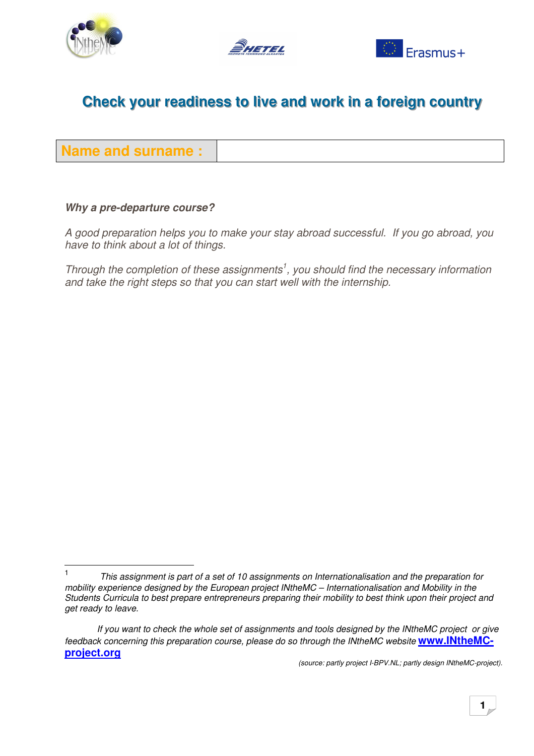





**Name and surname:** 

#### Why a pre-departure course?

A good preparation helps you to make your stay abroad successful. If you go abroad, you have to think about a lot of things.

Through the completion of these assignments<sup>1</sup>, you should find the necessary information and take the right steps so that you can start well with the internship.

 $\mathbf{1}$ This assignment is part of a set of 10 assignments on Internationalisation and the preparation for mobility experience designed by the European project INtheMC - Internationalisation and Mobility in the Students Curricula to best prepare entrepreneurs preparing their mobility to best think upon their project and get ready to leave.

If you want to check the whole set of assignments and tools designed by the INtheMC project or give feedback concerning this preparation course, please do so through the INtheMC website www.INtheMCproject.org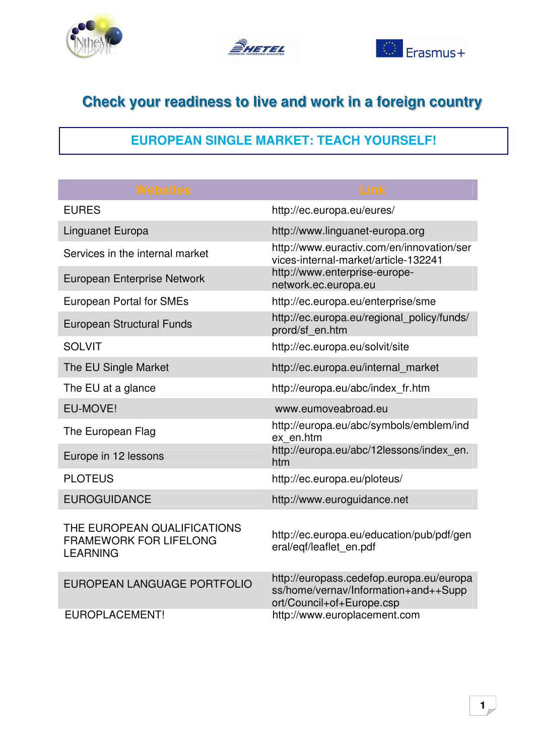





## **EUROPEAN SINGLE MARKET: TEACH YOURSELF!**

| <b>Websites</b>                                                                 | <b>Link</b>                                                                                                   |
|---------------------------------------------------------------------------------|---------------------------------------------------------------------------------------------------------------|
| <b>EURES</b>                                                                    | http://ec.europa.eu/eures/                                                                                    |
| Linguanet Europa                                                                | http://www.linguanet-europa.org                                                                               |
| Services in the internal market                                                 | http://www.euractiv.com/en/innovation/ser<br>vices-internal-market/article-132241                             |
| European Enterprise Network                                                     | http://www.enterprise-europe-<br>network.ec.europa.eu                                                         |
| <b>European Portal for SMEs</b>                                                 | http://ec.europa.eu/enterprise/sme                                                                            |
| <b>European Structural Funds</b>                                                | http://ec.europa.eu/regional_policy/funds/<br>prord/sf en.htm                                                 |
| <b>SOLVIT</b>                                                                   | http://ec.europa.eu/solvit/site                                                                               |
| The EU Single Market                                                            | http://ec.europa.eu/internal market                                                                           |
| The EU at a glance                                                              | http://europa.eu/abc/index fr.htm                                                                             |
| EU-MOVE!                                                                        | www.eumoveabroad.eu                                                                                           |
| The European Flag                                                               | http://europa.eu/abc/symbols/emblem/ind<br>ex en.htm                                                          |
| Europe in 12 lessons                                                            | http://europa.eu/abc/12lessons/index en.<br>htm                                                               |
| <b>PLOTEUS</b>                                                                  | http://ec.europa.eu/ploteus/                                                                                  |
| <b>EUROGUIDANCE</b>                                                             | http://www.euroguidance.net                                                                                   |
| THE EUROPEAN QUALIFICATIONS<br><b>FRAMEWORK FOR LIFELONG</b><br><b>LEARNING</b> | http://ec.europa.eu/education/pub/pdf/gen<br>eral/eqf/leaflet en.pdf                                          |
| EUROPEAN LANGUAGE PORTFOLIO                                                     | http://europass.cedefop.europa.eu/europa<br>ss/home/vernav/Information+and++Supp<br>ort/Council+of+Europe.csp |
| <b>EUROPLACEMENT!</b>                                                           | http://www.europlacement.com                                                                                  |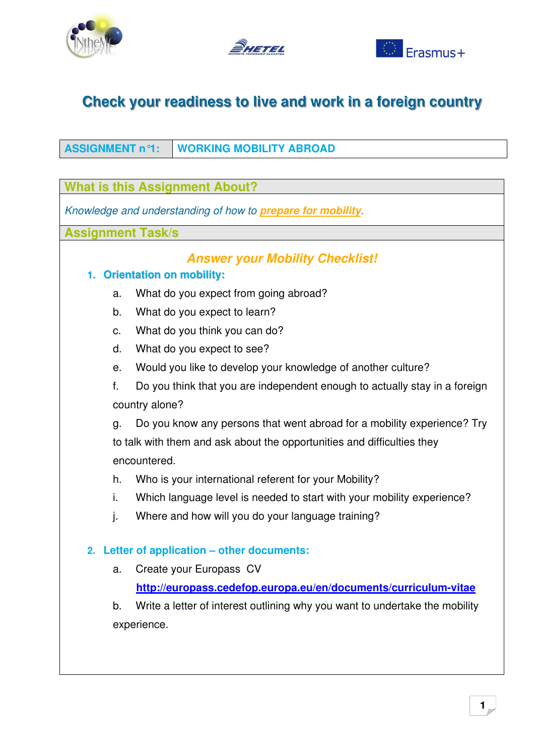





#### ASSIGNMENT n°1: **WORKING MOBILITY ABROAD**

|                                                                     | <b>What is this Assignment About?</b>                                       |  |
|---------------------------------------------------------------------|-----------------------------------------------------------------------------|--|
| Knowledge and understanding of how to <b>prepare for mobility</b> . |                                                                             |  |
| <b>Assignment Task/s</b>                                            |                                                                             |  |
|                                                                     | <b>Answer your Mobility Checklist!</b>                                      |  |
| <b>Orientation on mobility:</b><br>1.                               |                                                                             |  |
| a.                                                                  | What do you expect from going abroad?                                       |  |
| b.                                                                  | What do you expect to learn?                                                |  |
| c.                                                                  | What do you think you can do?                                               |  |
| d.                                                                  | What do you expect to see?                                                  |  |
| е.                                                                  | Would you like to develop your knowledge of another culture?                |  |
| f.                                                                  | Do you think that you are independent enough to actually stay in a foreign  |  |
|                                                                     | country alone?                                                              |  |
| g.                                                                  | Do you know any persons that went abroad for a mobility experience? Try     |  |
|                                                                     | to talk with them and ask about the opportunities and difficulties they     |  |
|                                                                     | encountered.                                                                |  |
| h.                                                                  | Who is your international referent for your Mobility?                       |  |
| i.                                                                  | Which language level is needed to start with your mobility experience?      |  |
| j.                                                                  | Where and how will you do your language training?                           |  |
| Letter of application - other documents:<br>2.                      |                                                                             |  |
| a.                                                                  | Create your Europass CV                                                     |  |
|                                                                     | http://europass.cedefop.europa.eu/en/documents/curriculum-vitae             |  |
| b.                                                                  | Write a letter of interest outlining why you want to undertake the mobility |  |
| experience.                                                         |                                                                             |  |
|                                                                     |                                                                             |  |
|                                                                     |                                                                             |  |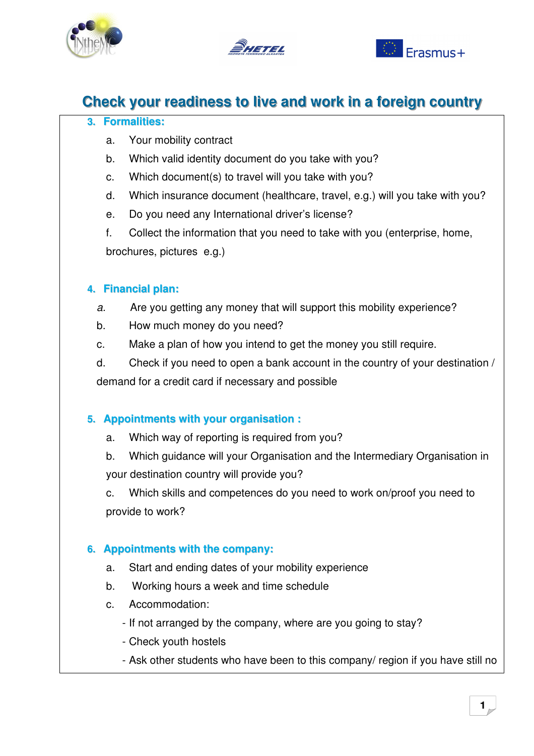



#### 3. Formalities:

- Your mobility contract a.
- Which valid identity document do you take with you?  $b<sub>1</sub>$
- Which document(s) to travel will you take with you? C.
- Which insurance document (healthcare, travel, e.g.) will you take with you?  $d_{\cdot}$
- Do you need any International driver's license?  $e_{1}$

Collect the information that you need to take with you (enterprise, home,  $f_{\perp}$ brochures, pictures e.g.)

#### 4. Financial plan:

- Are you getting any money that will support this mobility experience?  $\overline{a}$ .
- $b.$ How much money do you need?
- Make a plan of how you intend to get the money you still require.  $C<sub>1</sub>$

Check if you need to open a bank account in the country of your destination /  $\mathsf{d}$ . demand for a credit card if necessary and possible

#### 5. Appointments with your organisation :

Which way of reporting is required from you? a.

Which guidance will your Organisation and the Intermediary Organisation in  $b<sub>1</sub>$ your destination country will provide you?

Which skills and competences do you need to work on/proof you need to C. provide to work?

#### 6. Appointments with the company:

- Start and ending dates of your mobility experience  $a<sub>z</sub>$
- $b<sub>1</sub>$ Working hours a week and time schedule
- Accommodation:  $C<sub>1</sub>$ 
	- If not arranged by the company, where are you going to stay?
	- Check youth hostels
	- Ask other students who have been to this company/ region if you have still no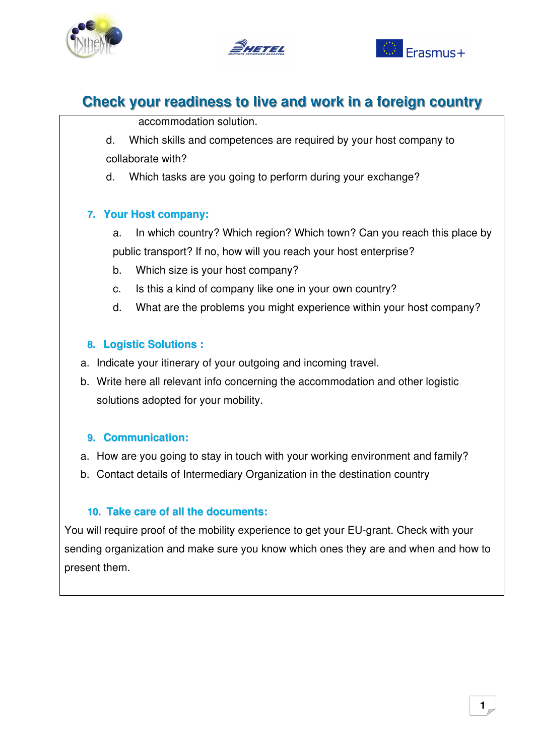





accommodation solution.

d. Which skills and competences are required by your host company to collaborate with?

Which tasks are you going to perform during your exchange?  $d_{\cdot}$ 

#### 7. Your Host company:

In which country? Which region? Which town? Can you reach this place by a. public transport? If no, how will you reach your host enterprise?

- Which size is your host company? b.
- c. Is this a kind of company like one in your own country?
- $d.$ What are the problems you might experience within your host company?

#### 8. Logistic Solutions:

- a. Indicate your itinerary of your outgoing and incoming travel.
- b. Write here all relevant info concerning the accommodation and other logistic solutions adopted for your mobility.

#### 9. Communication:

- a. How are you going to stay in touch with your working environment and family?
- b. Contact details of Intermediary Organization in the destination country

#### 10. Take care of all the documents:

You will require proof of the mobility experience to get your EU-grant. Check with your sending organization and make sure you know which ones they are and when and how to present them.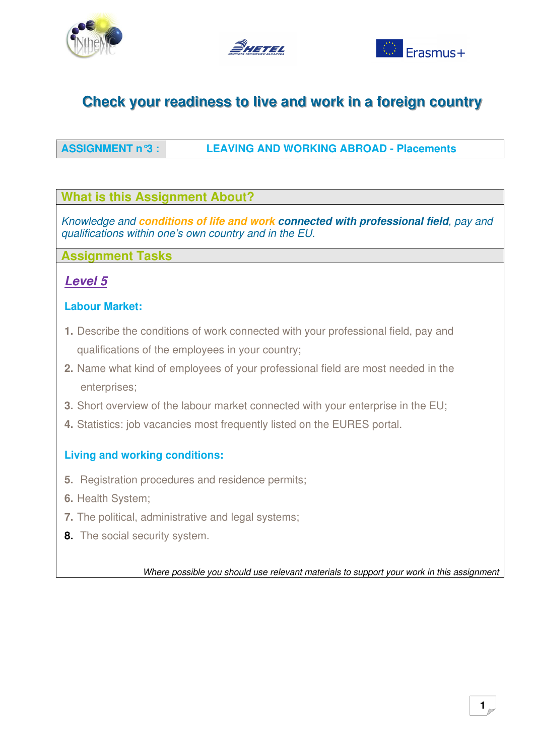





**ASSIGNMENT n°3: LEAVING AND WORKING ABROAD - Placements** 

#### **What is this Assignment About?**

Knowledge and conditions of life and work connected with professional field, pay and qualifications within one's own country and in the EU.

**Assignment Tasks** 

### **Level 5**

#### **Labour Market:**

- 1. Describe the conditions of work connected with your professional field, pay and qualifications of the employees in your country;
- 2. Name what kind of employees of your professional field are most needed in the enterprises;
- 3. Short overview of the labour market connected with your enterprise in the EU;
- 4. Statistics: job vacancies most frequently listed on the EURES portal.

### **Living and working conditions:**

- 5. Registration procedures and residence permits;
- 6. Health System:
- 7. The political, administrative and legal systems;
- 8. The social security system.

Where possible you should use relevant materials to support your work in this assignment